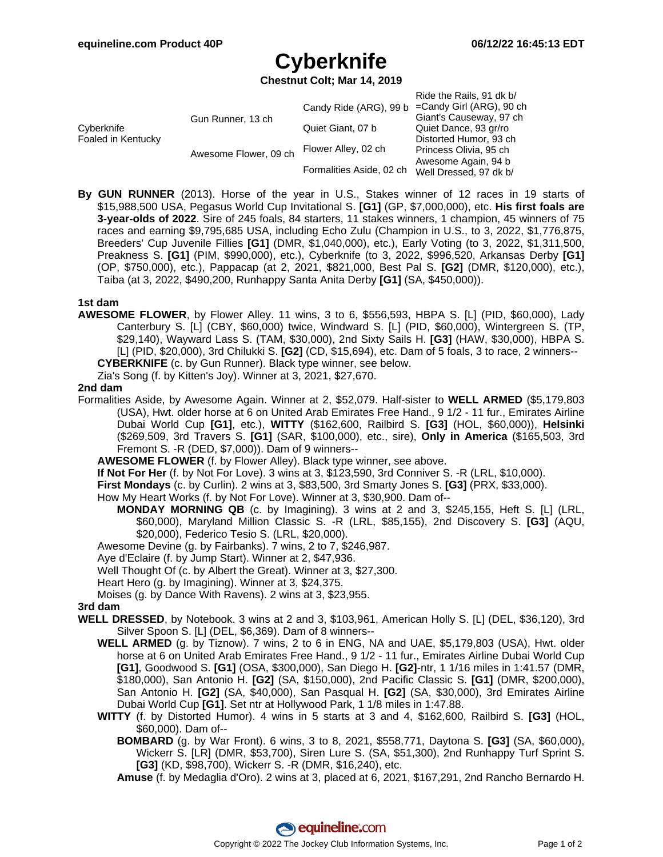Ride the Rails, 91 dk b/

# **Cyberknife**

**Chestnut Colt; Mar 14, 2019**

|                                  |                       | Candy Ride (ARG), 99 b   | $NUC$ life $NdI$ $S$ i $UN$<br>=Candy Girl (ARG), 90 ch |
|----------------------------------|-----------------------|--------------------------|---------------------------------------------------------|
| Cyberknife<br>Foaled in Kentucky | Gun Runner, 13 ch     |                          | Giant's Causeway, 97 ch                                 |
|                                  |                       | Quiet Giant, 07 b        | Quiet Dance, 93 gr/ro                                   |
|                                  | Awesome Flower, 09 ch | Flower Alley, 02 ch      | Distorted Humor, 93 ch                                  |
|                                  |                       |                          | Princess Olivia, 95 ch                                  |
|                                  |                       |                          | Awesome Again, 94 b                                     |
|                                  |                       | Formalities Aside, 02 ch | Well Dressed, 97 dk b/                                  |

**By GUN RUNNER** (2013). Horse of the year in U.S., Stakes winner of 12 races in 19 starts of \$15,988,500 USA, Pegasus World Cup Invitational S. **[G1]** (GP, \$7,000,000), etc. **His first foals are 3-year-olds of 2022**. Sire of 245 foals, 84 starters, 11 stakes winners, 1 champion, 45 winners of 75 races and earning \$9,795,685 USA, including Echo Zulu (Champion in U.S., to 3, 2022, \$1,776,875, Breeders' Cup Juvenile Fillies **[G1]** (DMR, \$1,040,000), etc.), Early Voting (to 3, 2022, \$1,311,500, Preakness S. **[G1]** (PIM, \$990,000), etc.), Cyberknife (to 3, 2022, \$996,520, Arkansas Derby **[G1]** (OP, \$750,000), etc.), Pappacap (at 2, 2021, \$821,000, Best Pal S. **[G2]** (DMR, \$120,000), etc.), Taiba (at 3, 2022, \$490,200, Runhappy Santa Anita Derby **[G1]** (SA, \$450,000)).

## **1st dam**

**AWESOME FLOWER**, by Flower Alley. 11 wins, 3 to 6, \$556,593, HBPA S. [L] (PID, \$60,000), Lady Canterbury S. [L] (CBY, \$60,000) twice, Windward S. [L] (PID, \$60,000), Wintergreen S. (TP, \$29,140), Wayward Lass S. (TAM, \$30,000), 2nd Sixty Sails H. **[G3]** (HAW, \$30,000), HBPA S. [L] (PID, \$20,000), 3rd Chilukki S. **[G2]** (CD, \$15,694), etc. Dam of 5 foals, 3 to race, 2 winners-- **CYBERKNIFE** (c. by Gun Runner). Black type winner, see below.

Zia's Song (f. by Kitten's Joy). Winner at 3, 2021, \$27,670.

## **2nd dam**

- Formalities Aside, by Awesome Again. Winner at 2, \$52,079. Half-sister to **WELL ARMED** (\$5,179,803 (USA), Hwt. older horse at 6 on United Arab Emirates Free Hand., 9 1/2 - 11 fur., Emirates Airline Dubai World Cup **[G1]**, etc.), **WITTY** (\$162,600, Railbird S. **[G3]** (HOL, \$60,000)), **Helsinki** (\$269,509, 3rd Travers S. **[G1]** (SAR, \$100,000), etc., sire), **Only in America** (\$165,503, 3rd Fremont S. -R (DED, \$7,000)). Dam of 9 winners--
	- **AWESOME FLOWER** (f. by Flower Alley). Black type winner, see above.
	- **If Not For Her** (f. by Not For Love). 3 wins at 3, \$123,590, 3rd Conniver S. -R (LRL, \$10,000).
	- **First Mondays** (c. by Curlin). 2 wins at 3, \$83,500, 3rd Smarty Jones S. **[G3]** (PRX, \$33,000).
	- How My Heart Works (f. by Not For Love). Winner at 3, \$30,900. Dam of--
		- **MONDAY MORNING QB** (c. by Imagining). 3 wins at 2 and 3, \$245,155, Heft S. [L] (LRL, \$60,000), Maryland Million Classic S. -R (LRL, \$85,155), 2nd Discovery S. **[G3]** (AQU, \$20,000), Federico Tesio S. (LRL, \$20,000).
	- Awesome Devine (g. by Fairbanks). 7 wins, 2 to 7, \$246,987.
	- Aye d'Eclaire (f. by Jump Start). Winner at 2, \$47,936.
	- Well Thought Of (c. by Albert the Great). Winner at 3, \$27,300.
	- Heart Hero (g. by Imagining). Winner at 3, \$24,375.
	- Moises (g. by Dance With Ravens). 2 wins at 3, \$23,955.

#### **3rd dam**

- **WELL DRESSED**, by Notebook. 3 wins at 2 and 3, \$103,961, American Holly S. [L] (DEL, \$36,120), 3rd Silver Spoon S. [L] (DEL, \$6,369). Dam of 8 winners--
	- **WELL ARMED** (g. by Tiznow). 7 wins, 2 to 6 in ENG, NA and UAE, \$5,179,803 (USA), Hwt. older horse at 6 on United Arab Emirates Free Hand., 9 1/2 - 11 fur., Emirates Airline Dubai World Cup **[G1]**, Goodwood S. **[G1]** (OSA, \$300,000), San Diego H. **[G2]**-ntr, 1 1/16 miles in 1:41.57 (DMR, \$180,000), San Antonio H. **[G2]** (SA, \$150,000), 2nd Pacific Classic S. **[G1]** (DMR, \$200,000), San Antonio H. **[G2]** (SA, \$40,000), San Pasqual H. **[G2]** (SA, \$30,000), 3rd Emirates Airline Dubai World Cup **[G1]**. Set ntr at Hollywood Park, 1 1/8 miles in 1:47.88.
	- **WITTY** (f. by Distorted Humor). 4 wins in 5 starts at 3 and 4, \$162,600, Railbird S. **[G3]** (HOL, \$60,000). Dam of--
		- **BOMBARD** (g. by War Front). 6 wins, 3 to 8, 2021, \$558,771, Daytona S. **[G3]** (SA, \$60,000), Wickerr S. [LR] (DMR, \$53,700), Siren Lure S. (SA, \$51,300), 2nd Runhappy Turf Sprint S. **[G3]** (KD, \$98,700), Wickerr S. -R (DMR, \$16,240), etc.

**Amuse** (f. by Medaglia d'Oro). 2 wins at 3, placed at 6, 2021, \$167,291, 2nd Rancho Bernardo H.